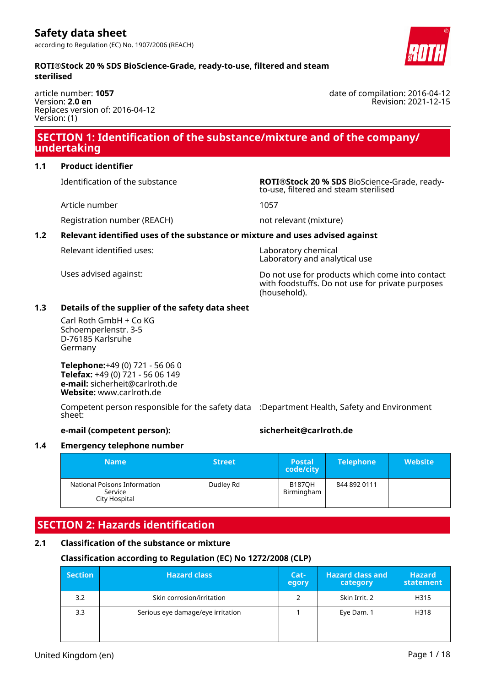date of compilation: 2016-04-12

Revision: 2021-12-15

#### **ROTI®Stock 20 % SDS BioScience-Grade, ready-to-use, filtered and steam sterilised**

article number: **1057** Version: **2.0 en** Replaces version of: 2016-04-12 Version: (1)

# **SECTION 1: Identification of the substance/mixture and of the company/ undertaking**

#### **1.1 Product identifier**

Article number 1057

Identification of the substance **ROTI®Stock 20 % SDS** BioScience-Grade, readyto-use, filtered and steam sterilised

Registration number (REACH) not relevant (mixture)

# **1.2 Relevant identified uses of the substance or mixture and uses advised against**

Relevant identified uses: Laboratory chemical

Laboratory and analytical use

Uses advised against: Do not use for products which come into contact with foodstuffs. Do not use for private purposes (household).

# **1.3 Details of the supplier of the safety data sheet**

Carl Roth GmbH + Co KG Schoemperlenstr. 3-5 D-76185 Karlsruhe Germany

**Telephone:**+49 (0) 721 - 56 06 0 **Telefax:** +49 (0) 721 - 56 06 149 **e-mail:** sicherheit@carlroth.de **Website:** www.carlroth.de

Competent person responsible for the safety data :Department Health, Safety and Environment sheet:

#### **e-mail (competent person): sicherheit@carlroth.de**

#### **1.4 Emergency telephone number**

| <b>Name</b>                                              | <b>Street</b> | 'Postal<br>code/city        | <b>Telephone</b> | Website <sup>'</sup> |
|----------------------------------------------------------|---------------|-----------------------------|------------------|----------------------|
| National Poisons Information<br>Service<br>City Hospital | Dudley Rd     | <b>B187OH</b><br>Birmingham | 844 892 0111     |                      |

# **SECTION 2: Hazards identification**

# **2.1 Classification of the substance or mixture**

# **Classification according to Regulation (EC) No 1272/2008 (CLP)**

| <b>Section</b> | <b>Hazard class</b>               | Cat-<br>egory | <b>Hazard class and</b><br>category | <b>Hazard</b><br>statement |
|----------------|-----------------------------------|---------------|-------------------------------------|----------------------------|
| 3.2            | Skin corrosion/irritation         | 2             | Skin Irrit. 2                       | H315                       |
| 3.3            | Serious eye damage/eye irritation |               | Eye Dam. 1                          | H318                       |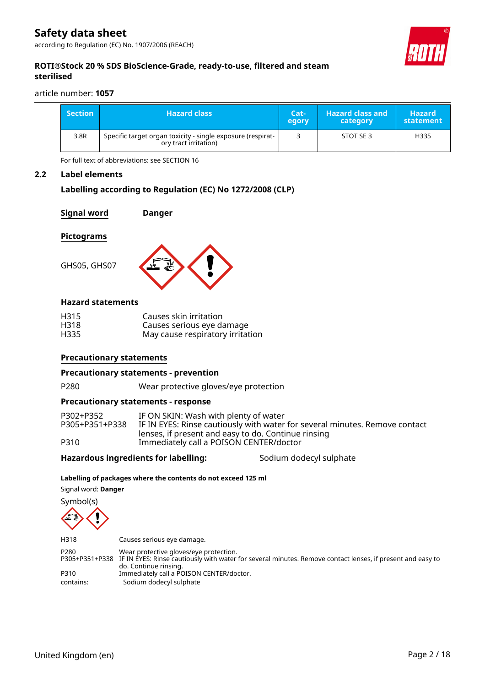

#### **ROTI®Stock 20 % SDS BioScience-Grade, ready-to-use, filtered and steam sterilised**

article number: **1057**

| <b>Section</b> | <b>Hazard class</b>                                                                  | Cat-<br>egory | <b>Hazard class and</b><br>category | <b>Hazard</b><br>statement |
|----------------|--------------------------------------------------------------------------------------|---------------|-------------------------------------|----------------------------|
| 3.8R           | Specific target organ toxicity - single exposure (respirat-<br>ory tract irritation) |               | STOT SE 3                           | H335                       |

For full text of abbreviations: see SECTION 16

#### **2.2 Label elements**

#### **Labelling according to Regulation (EC) No 1272/2008 (CLP)**

**Signal word Danger**

#### **Pictograms**

GHS05, GHS07



#### **Hazard statements**

| H315 | Causes skin irritation           |
|------|----------------------------------|
| H318 | Causes serious eye damage        |
| H335 | May cause respiratory irritation |

#### **Precautionary statements**

#### **Precautionary statements - prevention**

P280 Wear protective gloves/eye protection

#### **Precautionary statements - response**

| P302+P352      | IF ON SKIN: Wash with plenty of water                                       |
|----------------|-----------------------------------------------------------------------------|
| P305+P351+P338 | IF IN EYES: Rinse cautiously with water for several minutes. Remove contact |
|                | lenses, if present and easy to do. Continue rinsing                         |
| P310           | Immediately call a POISON CENTER/doctor                                     |

#### Hazardous ingredients for labelling: Sodium dodecyl sulphate

#### **Labelling of packages where the contents do not exceed 125 ml**

Signal word: **Danger**

Symbol(s)

H318 Causes serious eye damage. P280 Wear protective gloves/eye protection. P305+P351+P338 IF IN EYES: Rinse cautiously with water for several minutes. Remove contact lenses, if present and easy to do. Continue rinsing. P310 Immediately call a POISON CENTER/doctor. contains: Sodium dodecyl sulphate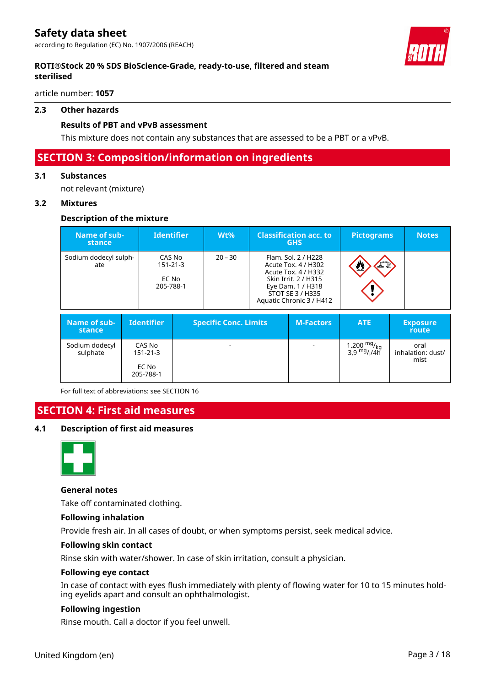### **ROTI®Stock 20 % SDS BioScience-Grade, ready-to-use, filtered and steam sterilised**

article number: **1057**

#### **2.3 Other hazards**

#### **Results of PBT and vPvB assessment**

This mixture does not contain any substances that are assessed to be a PBT or a vPvB.

# **SECTION 3: Composition/information on ingredients**

#### **3.1 Substances**

not relevant (mixture)

#### **3.2 Mixtures**

#### **Description of the mixture**

| Name of sub-<br><b>stance</b> | <b>Identifier</b>                              | $Wt\%$    | <b>Classification acc. to</b><br><b>GHS</b>                                                                                                                    | <b>Pictograms</b> | <b>Notes</b> |
|-------------------------------|------------------------------------------------|-----------|----------------------------------------------------------------------------------------------------------------------------------------------------------------|-------------------|--------------|
| Sodium dodecyl sulph-<br>ate  | CAS No<br>$151 - 21 - 3$<br>EC No<br>205-788-1 | $20 - 30$ | Flam. Sol. 2 / H228<br>Acute Tox. 4 / H302<br>Acute Tox. 4 / H332<br>Skin Irrit, 2 / H315<br>Eye Dam. 1 / H318<br>STOT SE 3 / H335<br>Aquatic Chronic 3 / H412 |                   |              |

| Name of sub-<br>stance     | <b>Identifier</b>                              | <b>Specific Conc. Limits</b> | <b>M-Factors</b>         | <b>ATE</b>                                                   | <b>Exposure</b><br>route          |
|----------------------------|------------------------------------------------|------------------------------|--------------------------|--------------------------------------------------------------|-----------------------------------|
| Sodium dodecyl<br>sulphate | CAS No<br>$151 - 21 - 3$<br>EC No<br>205-788-1 | ۰                            | $\overline{\phantom{a}}$ | 1.200 $_{\rm{kg}}^{\rm{mg}}$<br>3,9 $_{\rm{mg}/4}^{\rm{mg}}$ | oral<br>inhalation: dust/<br>mist |

For full text of abbreviations: see SECTION 16

# **SECTION 4: First aid measures**

#### **4.1 Description of first aid measures**



#### **General notes**

Take off contaminated clothing.

#### **Following inhalation**

Provide fresh air. In all cases of doubt, or when symptoms persist, seek medical advice.

#### **Following skin contact**

Rinse skin with water/shower. In case of skin irritation, consult a physician.

#### **Following eye contact**

In case of contact with eyes flush immediately with plenty of flowing water for 10 to 15 minutes holding eyelids apart and consult an ophthalmologist.

#### **Following ingestion**

Rinse mouth. Call a doctor if you feel unwell.

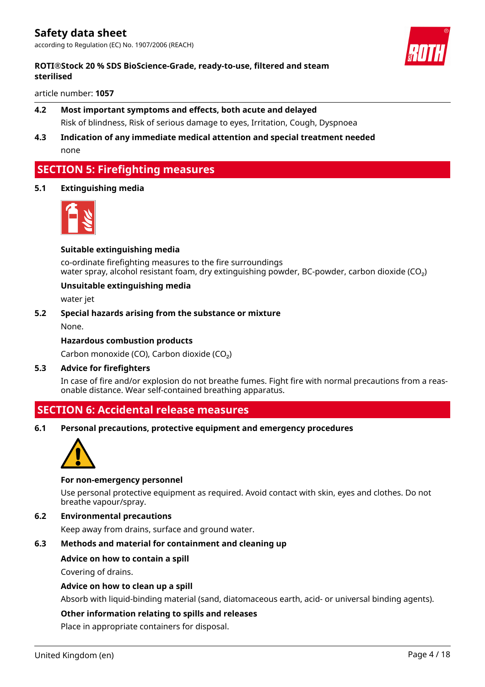# **ROTI®Stock 20 % SDS BioScience-Grade, ready-to-use, filtered and steam sterilised**

article number: **1057**

# **4.2 Most important symptoms and effects, both acute and delayed** Risk of blindness, Risk of serious damage to eyes, Irritation, Cough, Dyspnoea

**4.3 Indication of any immediate medical attention and special treatment needed** none

# **SECTION 5: Firefighting measures**

#### **5.1 Extinguishing media**



#### **Suitable extinguishing media**

co-ordinate firefighting measures to the fire surroundings water spray, alcohol resistant foam, dry extinguishing powder, BC-powder, carbon dioxide (CO<sub>2</sub>)

#### **Unsuitable extinguishing media**

water jet

#### **5.2 Special hazards arising from the substance or mixture**

None.

#### **Hazardous combustion products**

Carbon monoxide (CO), Carbon dioxide (CO₂)

#### **5.3 Advice for firefighters**

In case of fire and/or explosion do not breathe fumes. Fight fire with normal precautions from a reasonable distance. Wear self-contained breathing apparatus.

# **SECTION 6: Accidental release measures**

**6.1 Personal precautions, protective equipment and emergency procedures**



#### **For non-emergency personnel**

Use personal protective equipment as required. Avoid contact with skin, eyes and clothes. Do not breathe vapour/spray.

### **6.2 Environmental precautions**

Keep away from drains, surface and ground water.

#### **6.3 Methods and material for containment and cleaning up**

#### **Advice on how to contain a spill**

Covering of drains.

#### **Advice on how to clean up a spill**

Absorb with liquid-binding material (sand, diatomaceous earth, acid- or universal binding agents).

#### **Other information relating to spills and releases**

Place in appropriate containers for disposal.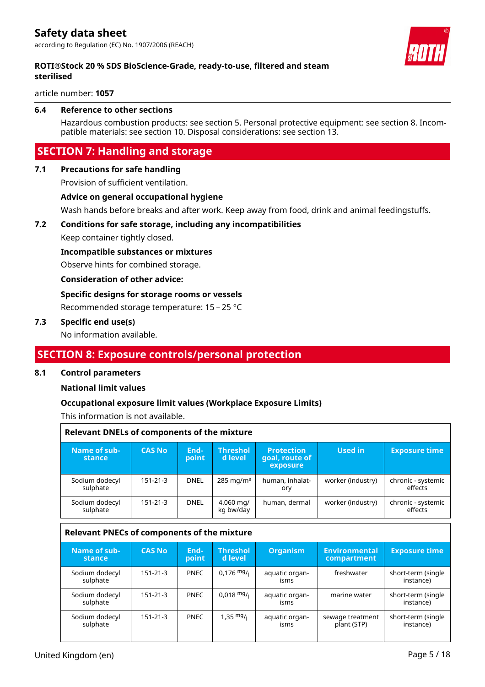

#### **ROTI®Stock 20 % SDS BioScience-Grade, ready-to-use, filtered and steam sterilised**

article number: **1057**

#### **6.4 Reference to other sections**

Hazardous combustion products: see section 5. Personal protective equipment: see section 8. Incompatible materials: see section 10. Disposal considerations: see section 13.

# **SECTION 7: Handling and storage**

#### **7.1 Precautions for safe handling**

Provision of sufficient ventilation.

#### **Advice on general occupational hygiene**

Wash hands before breaks and after work. Keep away from food, drink and animal feedingstuffs.

#### **7.2 Conditions for safe storage, including any incompatibilities**

Keep container tightly closed.

#### **Incompatible substances or mixtures**

Observe hints for combined storage.

#### **Consideration of other advice:**

#### **Specific designs for storage rooms or vessels**

Recommended storage temperature: 15 – 25 °C

#### **7.3 Specific end use(s)**

No information available.

# **SECTION 8: Exposure controls/personal protection**

#### **8.1 Control parameters**

#### **National limit values**

#### **Occupational exposure limit values (Workplace Exposure Limits)**

This information is not available.

| <b>Relevant DNELs of components of the mixture</b> |                |               |                            |                                                 |                                     |                                 |  |  |
|----------------------------------------------------|----------------|---------------|----------------------------|-------------------------------------------------|-------------------------------------|---------------------------------|--|--|
| Name of sub-<br>stance                             | <b>CAS No</b>  | End-<br>point | <b>Threshol</b><br>d level | <b>Protection</b><br>goal, route of<br>exposure | <b>Used in</b>                      | <b>Exposure time</b>            |  |  |
| Sodium dodecyl<br>sulphate                         | 151-21-3       | <b>DNEL</b>   | 285 mg/m $3$               | human, inhalat-<br>ory                          | worker (industry)                   | chronic - systemic<br>effects   |  |  |
| Sodium dodecyl<br>sulphate                         | 151-21-3       | <b>DNEL</b>   | 4.060 mg/<br>kg bw/day     | human, dermal                                   | worker (industry)                   | chronic - systemic<br>effects   |  |  |
| <b>Relevant PNECs of components of the mixture</b> |                |               |                            |                                                 |                                     |                                 |  |  |
|                                                    |                |               |                            |                                                 |                                     |                                 |  |  |
| Name of sub-<br>stance                             | <b>CAS No</b>  | End-<br>point | <b>Threshol</b><br>d level | <b>Organism</b>                                 | <b>Environmental</b><br>compartment | <b>Exposure time</b>            |  |  |
| Sodium dodecyl<br>sulphate                         | $151 - 21 - 3$ | <b>PNEC</b>   | $0.176$ mg/                | aquatic organ-<br>isms                          | freshwater                          | short-term (single<br>instance) |  |  |
| Sodium dodecyl<br>sulphate                         | 151-21-3       | <b>PNEC</b>   | $0,018 \text{ mg}/1$       | aquatic organ-<br>isms                          | marine water                        | short-term (single<br>instance) |  |  |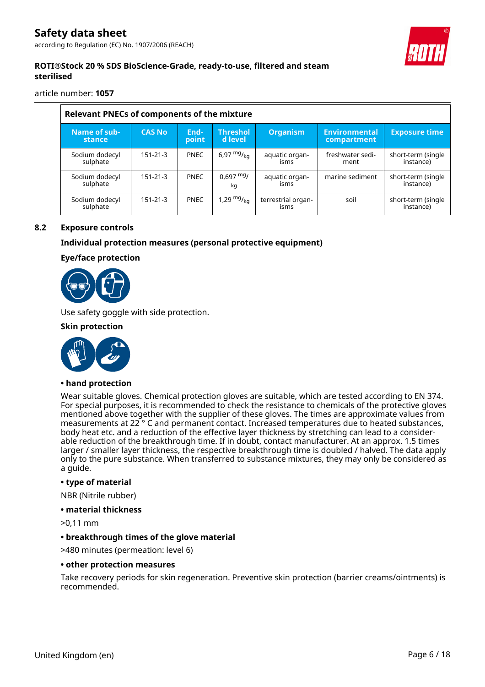# **ROTI®Stock 20 % SDS BioScience-Grade, ready-to-use, filtered and steam sterilised**

article number: **1057**

| <b>Relevant PNECs of components of the mixture</b> |                |               |                            |                            |                                     |                                 |  |  |
|----------------------------------------------------|----------------|---------------|----------------------------|----------------------------|-------------------------------------|---------------------------------|--|--|
| Name of sub-<br>stance                             | <b>CAS No</b>  | End-<br>point | <b>Threshol</b><br>d level | <b>Organism</b>            | <b>Environmental</b><br>compartment | <b>Exposure time</b>            |  |  |
| Sodium dodecyl<br>sulphate                         | $151 - 21 - 3$ | <b>PNEC</b>   | 6,97 $mg/_{kq}$            | aquatic organ-<br>isms     | freshwater sedi-<br>ment            | short-term (single<br>instance) |  |  |
| Sodium dodecyl<br>sulphate                         | $151 - 21 - 3$ | <b>PNEC</b>   | $0.697$ mg/<br>kq          | aquatic organ-<br>isms     | marine sediment                     | short-term (single<br>instance) |  |  |
| Sodium dodecyl<br>sulphate                         | $151 - 21 - 3$ | <b>PNEC</b>   | 1,29 $mg/_{ka}$            | terrestrial organ-<br>isms | soil                                | short-term (single<br>instance) |  |  |

#### **8.2 Exposure controls**

#### **Individual protection measures (personal protective equipment)**

#### **Eye/face protection**



Use safety goggle with side protection.

#### **Skin protection**



#### **• hand protection**

Wear suitable gloves. Chemical protection gloves are suitable, which are tested according to EN 374. For special purposes, it is recommended to check the resistance to chemicals of the protective gloves mentioned above together with the supplier of these gloves. The times are approximate values from measurements at 22 ° C and permanent contact. Increased temperatures due to heated substances, body heat etc. and a reduction of the effective layer thickness by stretching can lead to a considerable reduction of the breakthrough time. If in doubt, contact manufacturer. At an approx. 1.5 times larger / smaller layer thickness, the respective breakthrough time is doubled / halved. The data apply only to the pure substance. When transferred to substance mixtures, they may only be considered as a guide.

#### **• type of material**

NBR (Nitrile rubber)

#### **• material thickness**

>0,11 mm

#### **• breakthrough times of the glove material**

>480 minutes (permeation: level 6)

#### **• other protection measures**

Take recovery periods for skin regeneration. Preventive skin protection (barrier creams/ointments) is recommended.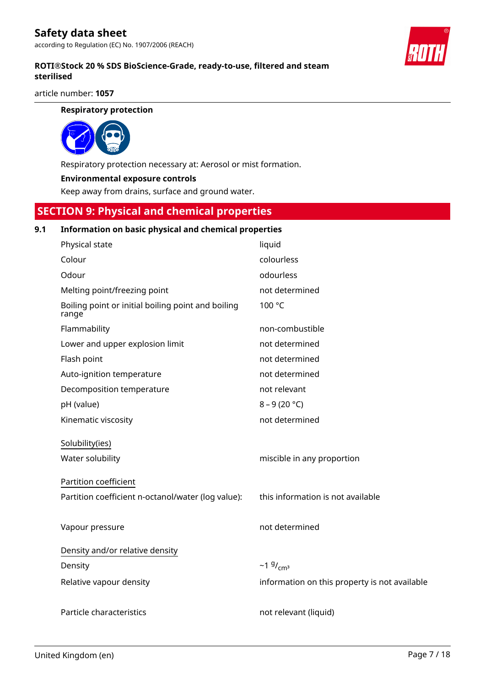# **Safety data sheet**

according to Regulation (EC) No. 1907/2006 (REACH)

#### **ROTI®Stock 20 % SDS BioScience-Grade, ready-to-use, filtered and steam sterilised**

article number: **1057**

#### **Respiratory protection**



Respiratory protection necessary at: Aerosol or mist formation.

#### **Environmental exposure controls**

Keep away from drains, surface and ground water.

# **SECTION 9: Physical and chemical properties**

#### **9.1 Information on basic physical and chemical properties**

| Physical state                                              | liquid                                        |
|-------------------------------------------------------------|-----------------------------------------------|
| Colour                                                      | colourless                                    |
| Odour                                                       | odourless                                     |
| Melting point/freezing point                                | not determined                                |
| Boiling point or initial boiling point and boiling<br>range | 100 °C                                        |
| Flammability                                                | non-combustible                               |
| Lower and upper explosion limit                             | not determined                                |
| Flash point                                                 | not determined                                |
| Auto-ignition temperature                                   | not determined                                |
| Decomposition temperature                                   | not relevant                                  |
| pH (value)                                                  | $8 - 9(20 °C)$                                |
| Kinematic viscosity                                         | not determined                                |
| Solubility(ies)                                             |                                               |
| Water solubility                                            | miscible in any proportion                    |
| Partition coefficient                                       |                                               |
| Partition coefficient n-octanol/water (log value):          | this information is not available             |
| Vapour pressure                                             | not determined                                |
| Density and/or relative density                             |                                               |
| Density                                                     | $~19/$ <sub>cm<sup>3</sup></sub>              |
| Relative vapour density                                     | information on this property is not available |
| Particle characteristics                                    | not relevant (liquid)                         |

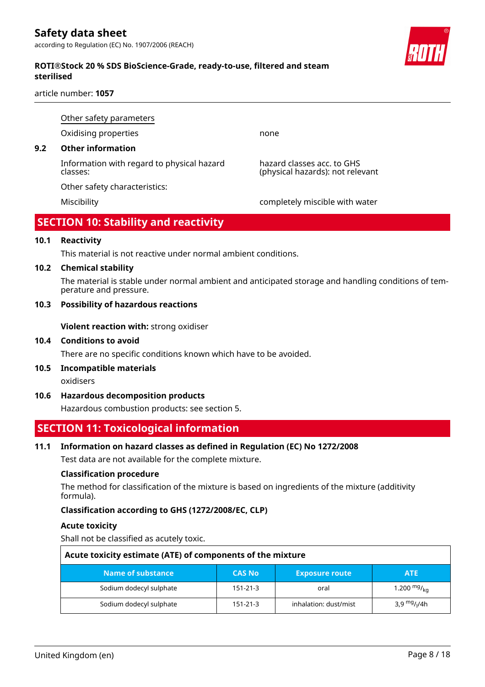# **Safety data sheet**

according to Regulation (EC) No. 1907/2006 (REACH)

#### **ROTI®Stock 20 % SDS BioScience-Grade, ready-to-use, filtered and steam sterilised**

article number: **1057**

Other safety parameters

Oxidising properties none

### **9.2 Other information**

Information with regard to physical hazard classes:

Other safety characteristics:

hazard classes acc. to GHS (physical hazards): not relevant

Miscibility completely miscible with water

# **SECTION 10: Stability and reactivity**

#### **10.1 Reactivity**

This material is not reactive under normal ambient conditions.

#### **10.2 Chemical stability**

The material is stable under normal ambient and anticipated storage and handling conditions of temperature and pressure.

#### **10.3 Possibility of hazardous reactions**

**Violent reaction with:** strong oxidiser

#### **10.4 Conditions to avoid**

There are no specific conditions known which have to be avoided.

#### **10.5 Incompatible materials**

oxidisers

#### **10.6 Hazardous decomposition products**

Hazardous combustion products: see section 5.

# **SECTION 11: Toxicological information**

#### **11.1 Information on hazard classes as defined in Regulation (EC) No 1272/2008**

Test data are not available for the complete mixture.

#### **Classification procedure**

The method for classification of the mixture is based on ingredients of the mixture (additivity formula).

#### **Classification according to GHS (1272/2008/EC, CLP)**

#### **Acute toxicity**

Shall not be classified as acutely toxic.

| Acute toxicity estimate (ATE) of components of the mixture                |          |                       |                                      |  |  |  |  |
|---------------------------------------------------------------------------|----------|-----------------------|--------------------------------------|--|--|--|--|
| Name of substance<br><b>CAS No</b><br><b>ATE</b><br><b>Exposure route</b> |          |                       |                                      |  |  |  |  |
| Sodium dodecyl sulphate                                                   | 151-21-3 | oral                  | 1.200 $mg/_{kq}$                     |  |  |  |  |
| Sodium dodecyl sulphate                                                   | 151-21-3 | inhalation: dust/mist | 3,9 <sup>mg</sup> / <sub>l</sub> /4h |  |  |  |  |

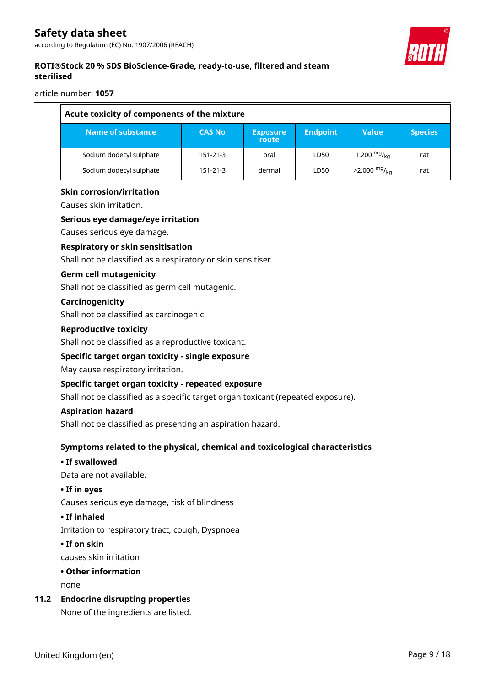

# **ROTI®Stock 20 % SDS BioScience-Grade, ready-to-use, filtered and steam sterilised**

article number: **1057**

| Acute toxicity of components of the mixture |               |                          |                 |                            |                |  |  |  |
|---------------------------------------------|---------------|--------------------------|-----------------|----------------------------|----------------|--|--|--|
| Name of substance                           | <b>CAS No</b> | <b>Exposure</b><br>route | <b>Endpoint</b> | <b>Value</b>               | <b>Species</b> |  |  |  |
| Sodium dodecyl sulphate                     | 151-21-3      | oral                     | LD50            | 1.200 $mg/_{kq}$           | rat            |  |  |  |
| Sodium dodecyl sulphate                     | 151-21-3      | dermal                   | LD50            | $>2.000$ mg/ <sub>kg</sub> | rat            |  |  |  |

#### **Skin corrosion/irritation**

Causes skin irritation.

#### **Serious eye damage/eye irritation**

Causes serious eye damage.

#### **Respiratory or skin sensitisation**

Shall not be classified as a respiratory or skin sensitiser.

#### **Germ cell mutagenicity**

Shall not be classified as germ cell mutagenic.

#### **Carcinogenicity**

Shall not be classified as carcinogenic.

#### **Reproductive toxicity**

Shall not be classified as a reproductive toxicant.

#### **Specific target organ toxicity - single exposure**

May cause respiratory irritation.

#### **Specific target organ toxicity - repeated exposure**

Shall not be classified as a specific target organ toxicant (repeated exposure).

#### **Aspiration hazard**

Shall not be classified as presenting an aspiration hazard.

#### **Symptoms related to the physical, chemical and toxicological characteristics**

# **• If swallowed**

Data are not available.

#### **• If in eyes**

Causes serious eye damage, risk of blindness

#### **• If inhaled**

Irritation to respiratory tract, cough, Dyspnoea

#### **• If on skin**

causes skin irritation

# **• Other information**

none

#### **11.2 Endocrine disrupting properties**

None of the ingredients are listed.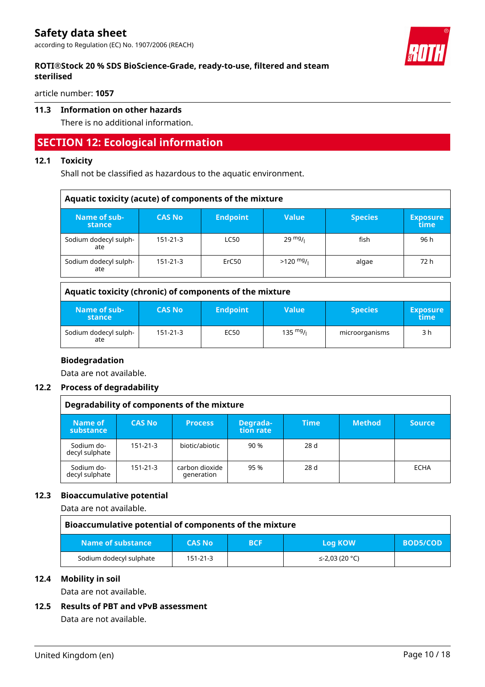# **ROTI®Stock 20 % SDS BioScience-Grade, ready-to-use, filtered and steam sterilised**

article number: **1057**

# **11.3 Information on other hazards**

There is no additional information.

# **SECTION 12: Ecological information**

#### **12.1 Toxicity**

Shall not be classified as hazardous to the aquatic environment.

| Aquatic toxicity (acute) of components of the mixture |               |                 |                   |                |                         |  |  |
|-------------------------------------------------------|---------------|-----------------|-------------------|----------------|-------------------------|--|--|
| Name of sub-<br>stance                                | <b>CAS No</b> | <b>Endpoint</b> | <b>Value</b>      | <b>Species</b> | <b>Exposure</b><br>time |  |  |
| Sodium dodecyl sulph-<br>ate                          | 151-21-3      | <b>LC50</b>     | $29 \frac{mg}{l}$ | fish           | 96 h                    |  |  |
| Sodium dodecyl sulph-<br>ate                          | 151-21-3      | ErC50           | $>120$ mg/        | algae          | 72 h                    |  |  |

| Aquatic toxicity (chronic) of components of the mixture |                |                 |                    |                |                         |  |
|---------------------------------------------------------|----------------|-----------------|--------------------|----------------|-------------------------|--|
| Name of sub-<br>stance                                  | <b>CAS No</b>  | <b>Endpoint</b> | <b>Value</b>       | <b>Species</b> | <b>Exposure</b><br>time |  |
| Sodium dodecyl sulph-<br>ate                            | $151 - 21 - 3$ | EC50            | $135 \frac{mg}{l}$ | microorganisms | 3 h                     |  |

#### **Biodegradation**

Data are not available.

#### **12.2 Process of degradability**

| Degradability of components of the mixture |                |                              |                       |             |               |               |
|--------------------------------------------|----------------|------------------------------|-----------------------|-------------|---------------|---------------|
| Name of<br>substance                       | <b>CAS No</b>  | <b>Process</b>               | Degrada-<br>tion rate | <b>Time</b> | <b>Method</b> | <b>Source</b> |
| Sodium do-<br>decyl sulphate               | $151 - 21 - 3$ | biotic/abiotic               | 90 %                  | 28d         |               |               |
| Sodium do-<br>decyl sulphate               | $151 - 21 - 3$ | carbon dioxide<br>generation | 95 %                  | 28d         |               | <b>ECHA</b>   |

# **12.3 Bioaccumulative potential**

Data are not available.

| Bioaccumulative potential of components of the mixture |               |            |                |                 |  |  |
|--------------------------------------------------------|---------------|------------|----------------|-----------------|--|--|
| Name of substance                                      | <b>CAS No</b> | <b>BCF</b> | Log KOW        | <b>BOD5/COD</b> |  |  |
| Sodium dodecyl sulphate                                | 151-21-3      |            | ≤-2,03 (20 °C) |                 |  |  |

#### **12.4 Mobility in soil**

Data are not available.

#### **12.5 Results of PBT and vPvB assessment**

Data are not available.

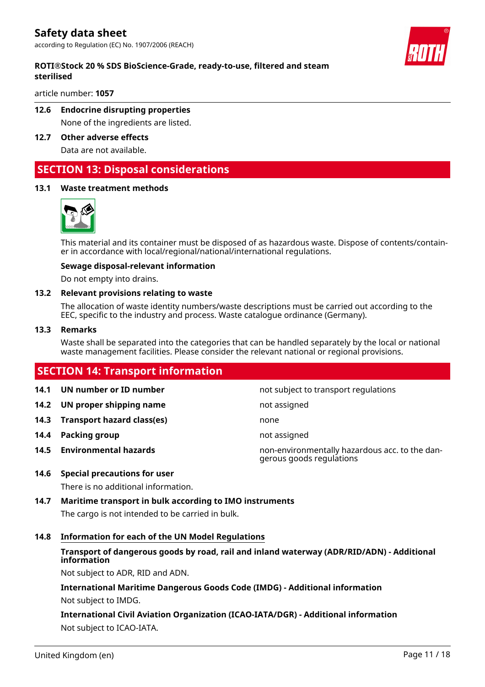

#### **ROTI®Stock 20 % SDS BioScience-Grade, ready-to-use, filtered and steam sterilised**

article number: **1057**

# **12.6 Endocrine disrupting properties**

None of the ingredients are listed.

**12.7 Other adverse effects** Data are not available.

# **SECTION 13: Disposal considerations**

#### **13.1 Waste treatment methods**



This material and its container must be disposed of as hazardous waste. Dispose of contents/container in accordance with local/regional/national/international regulations.

#### **Sewage disposal-relevant information**

Do not empty into drains.

#### **13.2 Relevant provisions relating to waste**

The allocation of waste identity numbers/waste descriptions must be carried out according to the EEC, specific to the industry and process. Waste catalogue ordinance (Germany).

#### **13.3 Remarks**

Waste shall be separated into the categories that can be handled separately by the local or national waste management facilities. Please consider the relevant national or regional provisions.

# **SECTION 14: Transport information 14.1 UN number or ID number not** subject to transport regulations **14.2 UN proper shipping name** not assigned **14.3 Transport hazard class(es)** none **14.4 Packing group not assigned 14.5 Environmental hazards** non-environmentally hazardous acc. to the dangerous goods regulations **14.6 Special precautions for user**

There is no additional information.

**14.7 Maritime transport in bulk according to IMO instruments** The cargo is not intended to be carried in bulk.

#### **14.8 Information for each of the UN Model Regulations**

# **Transport of dangerous goods by road, rail and inland waterway (ADR/RID/ADN) - Additional information**

Not subject to ADR, RID and ADN.

**International Maritime Dangerous Goods Code (IMDG) - Additional information** Not subject to IMDG.

**International Civil Aviation Organization (ICAO-IATA/DGR) - Additional information** Not subject to ICAO-IATA.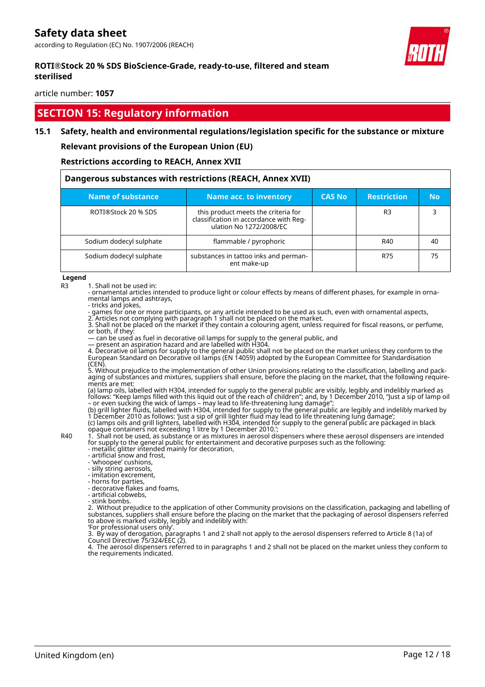#### **ROTI®Stock 20 % SDS BioScience-Grade, ready-to-use, filtered and steam sterilised**

article number: **1057**

# **SECTION 15: Regulatory information**

#### **15.1 Safety, health and environmental regulations/legislation specific for the substance or mixture**

#### **Relevant provisions of the European Union (EU)**

#### **Restrictions according to REACH, Annex XVII**

| Dangerous substances with restrictions (REACH, Annex XVII) |                                                                                                          |               |                    |           |  |  |
|------------------------------------------------------------|----------------------------------------------------------------------------------------------------------|---------------|--------------------|-----------|--|--|
| Name of substance                                          | Name acc. to inventory                                                                                   | <b>CAS No</b> | <b>Restriction</b> | <b>No</b> |  |  |
| ROTI®Stock 20 % SDS                                        | this product meets the criteria for<br>classification in accordance with Reg-<br>ulation No 1272/2008/EC |               | R <sub>3</sub>     |           |  |  |
| Sodium dodecyl sulphate                                    | flammable / pyrophoric                                                                                   |               | R40                | 40        |  |  |
| Sodium dodecyl sulphate                                    | substances in tattoo inks and perman-<br>ent make-up                                                     |               | R75                | 75        |  |  |

**Legend**

R3 1. Shall not be used in:

- ornamental articles intended to produce light or colour effects by means of different phases, for example in ornamental lamps and ashtrays,

- tricks and jokes,

- games for one or more participants, or any article intended to be used as such, even with ornamental aspects,

2. Articles not complying with paragraph 1 shall not be placed on the market. 3. Shall not be placed on the market if they contain a colouring agent, unless required for fiscal reasons, or perfume, or both, if they:

— can be used as fuel in decorative oil lamps for supply to the general public, and

— present an aspiration hazard and are labelled with H304.

4. Decorative oil lamps for supply to the general public shall not be placed on the market unless they conform to the European Standard on Decorative oil lamps (EN 14059) adopted by the European Committee for Standardisation  $(CEN)$ 

5. Without prejudice to the implementation of other Union provisions relating to the classification, labelling and packaging of substances and mixtures, suppliers shall ensure, before the placing on the market, that the following requirements are met:

(a) lamp oils, labelled with H304, intended for supply to the general public are visibly, legibly and indelibly marked as follows: "Keep lamps filled with this liquid out of the reach of children"; and, by 1 December 2010, "Just a sip of lamp oil – or even sucking the wick of lamps – may lead to life-threatening lung damage";

(b) grill lighter fluids, labelled with H304, intended for supply to the general public are legibly and indelibly marked by 1 December 2010 as follows: 'Just a sip of grill lighter fluid may lead to life threatening lung damage'; (c) lamps oils and grill lighters, labelled with H304, intended for supply to the general public are packaged in black

opaque containers not exceeding 1 litre by 1 December 2010.';

R40 1. Shall not be used, as substance or as mixtures in aerosol dispensers where these aerosol dispensers are intended for supply to the general public for entertainment and decorative purposes such as the following: - metallic glitter intended mainly for decoration,

- artificial snow and frost,

- 'whoopee' cushions,

- silly string aerosols,

- imitation excrement,

- horns for parties,

- decorative flakes and foams,

- artificial cobwebs, - stink bombs.

2. Without prejudice to the application of other Community provisions on the classification, packaging and labelling of substances, suppliers shall ensure before the placing on the market that the packaging of aerosol dispensers referred to above is marked visibly, legibly and indelibly with:

'For professional users only'.

3. By way of derogation, paragraphs 1 and 2 shall not apply to the aerosol dispensers referred to Article 8 (1a) of Council Directive 75/324/EEC (2).

4. The aerosol dispensers referred to in paragraphs 1 and 2 shall not be placed on the market unless they conform to the requirements indicated.

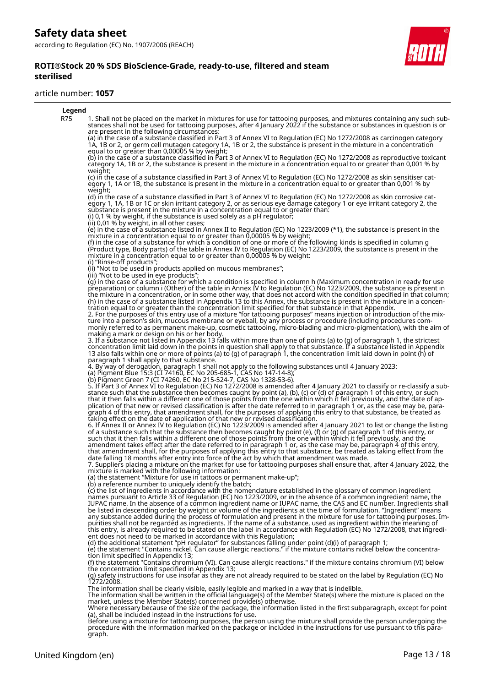#### **ROTI®Stock 20 % SDS BioScience-Grade, ready-to-use, filtered and steam sterilised**

#### article number: **1057**



Before using a mixture for tattooing purposes, the person using the mixture shall provide the person undergoing the procedure with the information marked on the package or included in the instructions for use pursuant to this paragraph.

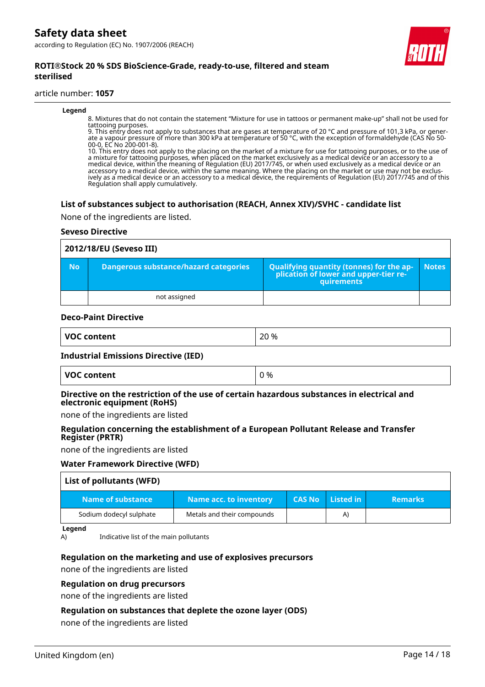

#### **ROTI®Stock 20 % SDS BioScience-Grade, ready-to-use, filtered and steam sterilised**

#### article number: **1057**

#### **Legend**

8. Mixtures that do not contain the statement "Mixture for use in tattoos or permanent make-up" shall not be used for tattooing purposes.

9. This entry does not apply to substances that are gases at temperature of 20 °C and pressure of 101,3 kPa, or generate a vapour pressure of more than 300 kPa at temperature of 50 °C, with the exception of formaldehyde (CAS No 50- 00-0, EC No 200-001-8).

10. This entry does not apply to the placing on the market of a mixture for use for tattooing purposes, or to the use of a mixture for tattooing purposes, when placed on the market exclusively as a medical device or an accessory to a medical device, within the meaning of Regulation (EU) 2017/745, or when used exclusively as a medical device or an accessory to a medical device, within the same meaning. Where the placing on the market or use may not be exclusively as a medical device or an accessory to a medical device, the requirements of Regulation (EU) 2017/745 and of this Regulation shall apply cumulatively.

#### **List of substances subject to authorisation (REACH, Annex XIV)/SVHC - candidate list**

None of the ingredients are listed.

#### **Seveso Directive**

| 2012/18/EU (Seveso III) |                                              |                                                                                                   |              |  |  |  |
|-------------------------|----------------------------------------------|---------------------------------------------------------------------------------------------------|--------------|--|--|--|
| <b>No</b>               | <b>Dangerous substance/hazard categories</b> | Qualifying quantity (tonnes) for the application of lower and upper-tier re-<br><b>quirements</b> | <b>Notes</b> |  |  |  |
|                         | not assigned                                 |                                                                                                   |              |  |  |  |

#### **Deco-Paint Directive**

| <b>VOC</b><br>)C content<br>_ _ _ _ | 20 %<br>_____ |
|-------------------------------------|---------------|
|-------------------------------------|---------------|

#### **Industrial Emissions Directive (IED)**

#### **Directive on the restriction of the use of certain hazardous substances in electrical and electronic equipment (RoHS)**

none of the ingredients are listed

#### **Regulation concerning the establishment of a European Pollutant Release and Transfer Register (PRTR)**

none of the ingredients are listed

#### **Water Framework Directive (WFD)**

| List of pollutants (WFD) |                            |               |           |                |
|--------------------------|----------------------------|---------------|-----------|----------------|
| Name of substance        | Name acc. to inventory     | <b>CAS No</b> | Listed in | <b>Remarks</b> |
| Sodium dodecyl sulphate  | Metals and their compounds |               | A)        |                |

**Legend**

A) Indicative list of the main pollutants

#### **Regulation on the marketing and use of explosives precursors**

none of the ingredients are listed

#### **Regulation on drug precursors**

none of the ingredients are listed

#### **Regulation on substances that deplete the ozone layer (ODS)**

none of the ingredients are listed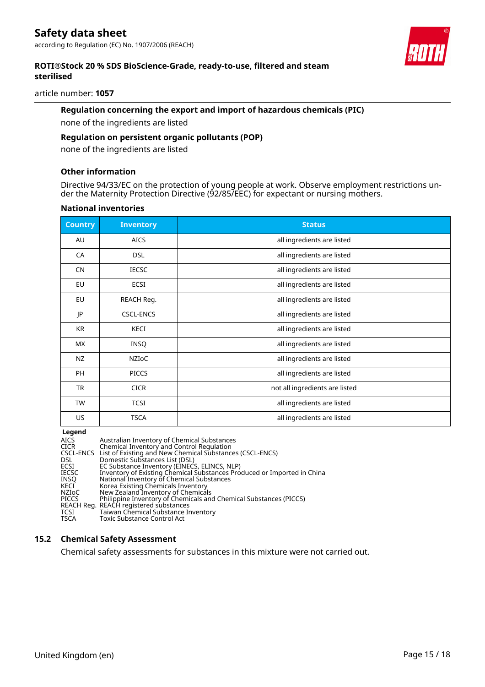

#### **ROTI®Stock 20 % SDS BioScience-Grade, ready-to-use, filtered and steam sterilised**

article number: **1057**

#### **Regulation concerning the export and import of hazardous chemicals (PIC)**

none of the ingredients are listed

#### **Regulation on persistent organic pollutants (POP)**

none of the ingredients are listed

#### **Other information**

Directive 94/33/EC on the protection of young people at work. Observe employment restrictions under the Maternity Protection Directive (92/85/EEC) for expectant or nursing mothers.

#### **National inventories**

| <b>Country</b> | <b>Inventory</b> | <b>Status</b>                  |
|----------------|------------------|--------------------------------|
| AU             | <b>AICS</b>      | all ingredients are listed     |
| CA             | <b>DSL</b>       | all ingredients are listed     |
| <b>CN</b>      | <b>IECSC</b>     | all ingredients are listed     |
| EU             | ECSI             | all ingredients are listed     |
| EU             | REACH Reg.       | all ingredients are listed     |
| JP             | <b>CSCL-ENCS</b> | all ingredients are listed     |
| <b>KR</b>      | KECI             | all ingredients are listed     |
| МX             | <b>INSQ</b>      | all ingredients are listed     |
| NZ             | <b>NZIOC</b>     | all ingredients are listed     |
| <b>PH</b>      | <b>PICCS</b>     | all ingredients are listed     |
| TR             | <b>CICR</b>      | not all ingredients are listed |
| <b>TW</b>      | <b>TCSI</b>      | all ingredients are listed     |
| US             | <b>TSCA</b>      | all ingredients are listed     |

#### **Legend**

| AICS         | Australian Inventory of Chemical Substances                             |
|--------------|-------------------------------------------------------------------------|
| <b>CICR</b>  | Chemical Inventory and Control Regulation                               |
|              | CSCL-ENCS List of Existing and New Chemical Substances (CSCL-ENCS)      |
| DSL.         | Domestic Substances List (DSL)                                          |
| <b>ECSI</b>  | EC Substance Inventory (EINECS, ELINCS, NLP)                            |
| <b>IECSC</b> | Inventory of Existing Chemical Substances Produced or Imported in China |
| INSO         | National Inventory of Chemical Substances                               |
| KECI         | Korea Existing Chemicals Inventory                                      |
| NZIoC        | New Zealand Inventory of Chemicals                                      |
| <b>PICCS</b> | Philippine Inventory of Chemicals and Chemical Substances (PICCS)       |
|              | REACH Reg. REACH registered substances                                  |
| TCSI         | Taiwan Chemical Substance Inventory                                     |
| <b>TSCA</b>  | Toxic Substance Control Act                                             |
|              |                                                                         |

# **15.2 Chemical Safety Assessment**

Chemical safety assessments for substances in this mixture were not carried out.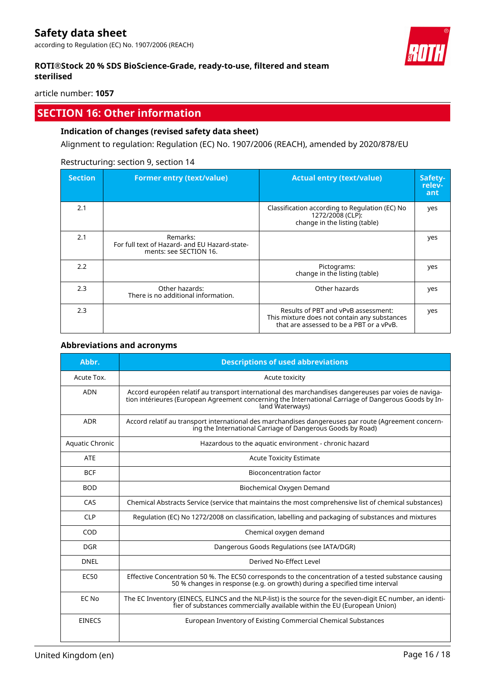### **ROTI®Stock 20 % SDS BioScience-Grade, ready-to-use, filtered and steam sterilised**

#### article number: **1057**

# **SECTION 16: Other information**

#### **Indication of changes (revised safety data sheet)**

Alignment to regulation: Regulation (EC) No. 1907/2006 (REACH), amended by 2020/878/EU

#### Restructuring: section 9, section 14

| <b>Section</b> | <b>Former entry (text/value)</b>                                                    | <b>Actual entry (text/value)</b>                                                                                                | Safety-<br>relev-<br>ant |
|----------------|-------------------------------------------------------------------------------------|---------------------------------------------------------------------------------------------------------------------------------|--------------------------|
| 2.1            |                                                                                     | Classification according to Regulation (EC) No<br>1272/2008 (CLP):<br>change in the listing (table)                             | yes                      |
| 2.1            | Remarks:<br>For full text of Hazard- and EU Hazard-state-<br>ments: see SECTION 16. |                                                                                                                                 | yes                      |
| 2.2            |                                                                                     | Pictograms:<br>change in the listing (table)                                                                                    | yes                      |
| 2.3            | Other hazards:<br>There is no additional information.                               | Other hazards                                                                                                                   | yes                      |
| 2.3            |                                                                                     | Results of PBT and vPvB assessment:<br>This mixture does not contain any substances<br>that are assessed to be a PBT or a vPvB. | yes                      |

#### **Abbreviations and acronyms**

| Abbr.           | <b>Descriptions of used abbreviations</b>                                                                                                                                                                                       |
|-----------------|---------------------------------------------------------------------------------------------------------------------------------------------------------------------------------------------------------------------------------|
| Acute Tox.      | Acute toxicity                                                                                                                                                                                                                  |
| <b>ADN</b>      | Accord européen relatif au transport international des marchandises dangereuses par voies de naviga-<br>tion intérieures (European Agreement concerning the International Carriage of Dangerous Goods by In-<br>land Waterways) |
| <b>ADR</b>      | Accord relatif au transport international des marchandises dangereuses par route (Agreement concern-<br>ing the International Carriage of Dangerous Goods by Road)                                                              |
| Aquatic Chronic | Hazardous to the aquatic environment - chronic hazard                                                                                                                                                                           |
| <b>ATE</b>      | <b>Acute Toxicity Estimate</b>                                                                                                                                                                                                  |
| <b>BCF</b>      | <b>Bioconcentration factor</b>                                                                                                                                                                                                  |
| <b>BOD</b>      | Biochemical Oxygen Demand                                                                                                                                                                                                       |
| CAS             | Chemical Abstracts Service (service that maintains the most comprehensive list of chemical substances)                                                                                                                          |
| <b>CLP</b>      | Regulation (EC) No 1272/2008 on classification, labelling and packaging of substances and mixtures                                                                                                                              |
| COD             | Chemical oxygen demand                                                                                                                                                                                                          |
| <b>DGR</b>      | Dangerous Goods Regulations (see IATA/DGR)                                                                                                                                                                                      |
| <b>DNEL</b>     | Derived No-Effect Level                                                                                                                                                                                                         |
| EC50            | Effective Concentration 50 %. The EC50 corresponds to the concentration of a tested substance causing<br>50 % changes in response (e.g. on growth) during a specified time interval                                             |
| EC No           | The EC Inventory (EINECS, ELINCS and the NLP-list) is the source for the seven-digit EC number, an identi-<br>fier of substances commercially available within the EU (European Union)                                          |
| <b>EINECS</b>   | European Inventory of Existing Commercial Chemical Substances                                                                                                                                                                   |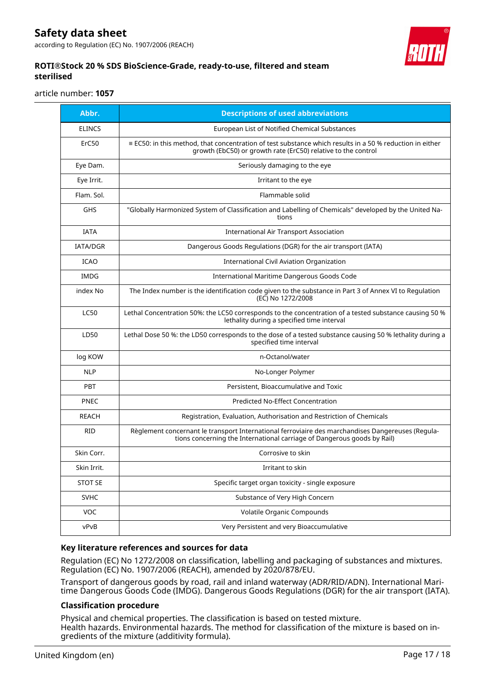# **Safety data sheet**

according to Regulation (EC) No. 1907/2006 (REACH)



#### **ROTI®Stock 20 % SDS BioScience-Grade, ready-to-use, filtered and steam sterilised**

article number: **1057**

| Abbr.           | <b>Descriptions of used abbreviations</b>                                                                                                                                        |
|-----------------|----------------------------------------------------------------------------------------------------------------------------------------------------------------------------------|
| <b>ELINCS</b>   | European List of Notified Chemical Substances                                                                                                                                    |
| ErC50           | $\equiv$ EC50: in this method, that concentration of test substance which results in a 50 % reduction in either<br>growth (EbC50) or growth rate (ErC50) relative to the control |
| Eye Dam.        | Seriously damaging to the eye                                                                                                                                                    |
| Eye Irrit.      | Irritant to the eye                                                                                                                                                              |
| Flam. Sol.      | Flammable solid                                                                                                                                                                  |
| <b>GHS</b>      | "Globally Harmonized System of Classification and Labelling of Chemicals" developed by the United Na-<br>tions                                                                   |
| <b>IATA</b>     | <b>International Air Transport Association</b>                                                                                                                                   |
| <b>IATA/DGR</b> | Dangerous Goods Regulations (DGR) for the air transport (IATA)                                                                                                                   |
| <b>ICAO</b>     | International Civil Aviation Organization                                                                                                                                        |
| IMDG            | International Maritime Dangerous Goods Code                                                                                                                                      |
| index No        | The Index number is the identification code given to the substance in Part 3 of Annex VI to Regulation<br>(EC) No 1272/2008                                                      |
| <b>LC50</b>     | Lethal Concentration 50%: the LC50 corresponds to the concentration of a tested substance causing 50 %<br>lethality during a specified time interval                             |
| LD50            | Lethal Dose 50 %: the LD50 corresponds to the dose of a tested substance causing 50 % lethality during a<br>specified time interval                                              |
| log KOW         | n-Octanol/water                                                                                                                                                                  |
| <b>NLP</b>      | No-Longer Polymer                                                                                                                                                                |
| <b>PBT</b>      | Persistent, Bioaccumulative and Toxic                                                                                                                                            |
| <b>PNEC</b>     | <b>Predicted No-Effect Concentration</b>                                                                                                                                         |
| <b>REACH</b>    | Registration, Evaluation, Authorisation and Restriction of Chemicals                                                                                                             |
| <b>RID</b>      | Règlement concernant le transport International ferroviaire des marchandises Dangereuses (Regula-<br>tions concerning the International carriage of Dangerous goods by Rail)     |
| Skin Corr.      | Corrosive to skin                                                                                                                                                                |
| Skin Irrit.     | Irritant to skin                                                                                                                                                                 |
| <b>STOT SE</b>  | Specific target organ toxicity - single exposure                                                                                                                                 |
| <b>SVHC</b>     | Substance of Very High Concern                                                                                                                                                   |
| <b>VOC</b>      | <b>Volatile Organic Compounds</b>                                                                                                                                                |
| vPvB            | Very Persistent and very Bioaccumulative                                                                                                                                         |

#### **Key literature references and sources for data**

Regulation (EC) No 1272/2008 on classification, labelling and packaging of substances and mixtures. Regulation (EC) No. 1907/2006 (REACH), amended by 2020/878/EU.

Transport of dangerous goods by road, rail and inland waterway (ADR/RID/ADN). International Maritime Dangerous Goods Code (IMDG). Dangerous Goods Regulations (DGR) for the air transport (IATA).

#### **Classification procedure**

Physical and chemical properties. The classification is based on tested mixture. Health hazards. Environmental hazards. The method for classification of the mixture is based on ingredients of the mixture (additivity formula).